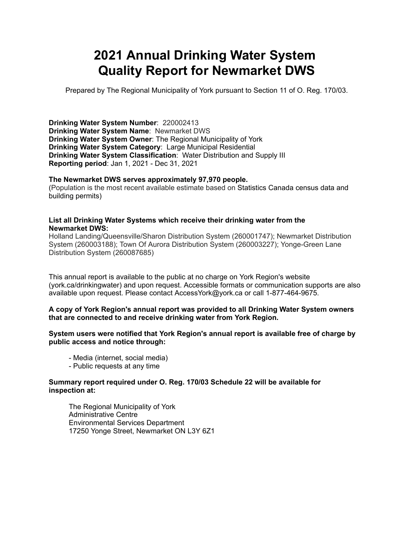# **2021 Annual Drinking Water System Quality Report for Newmarket DWS**

Prepared by The Regional Municipality of York pursuant to Section 11 of O. Reg. 170/03.

**Drinking Water System Number**: 220002413 **Drinking Water System Name**: Newmarket DWS **Drinking Water System Owner**: The Regional Municipality of York **Drinking Water System Category**: Large Municipal Residential **Drinking Water System Classification**: Water Distribution and Supply III **Reporting period**: Jan 1, 2021 - Dec 31, 2021

#### **The Newmarket DWS serves approximately 97,970 people.**

(Population is the most recent available estimate based on Statistics Canada census data and building permits)

#### **List all Drinking Water Systems which receive their drinking water from the Newmarket DWS:**

Holland Landing/Queensville/Sharon Distribution System (260001747); Newmarket Distribution System (260003188); Town Of Aurora Distribution System (260003227); Yonge-Green Lane Distribution System (260087685)

This annual report is available to the public at no charge on York Region's website (york.ca/drinkingwater) and upon request. Accessible formats or communication supports are also available upon request. Please contact [AccessYork@york.ca](mailto:AccessYork@york.ca) or call 1-877-464-9675.

#### **A copy of York Region's annual report was provided to all Drinking Water System owners that are connected to and receive drinking water from York Region.**

**System users were notified that York Region's annual report is available free of charge by public access and notice through:**

- Media (internet, social media)
- Public requests at any time

#### **Summary report required under O. Reg. 170/03 Schedule 22 will be available for inspection at:**

 The Regional Municipality of York Administrative Centre Environmental Services Department 17250 Yonge Street, Newmarket ON L3Y 6Z1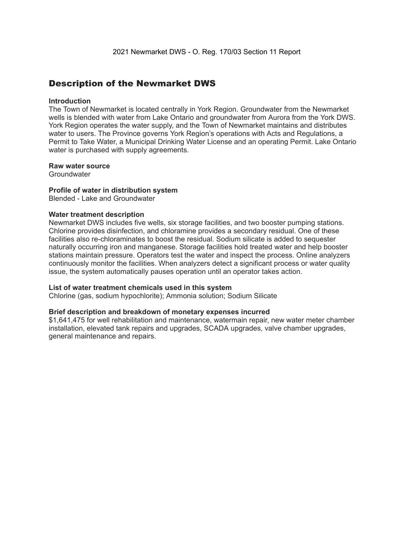### Description of the Newmarket DWS

#### **Introduction**

The Town of Newmarket is located centrally in York Region. Groundwater from the Newmarket wells is blended with water from Lake Ontario and groundwater from Aurora from the York DWS. York Region operates the water supply, and the Town of Newmarket maintains and distributes water to users. The Province governs York Region's operations with Acts and Regulations, a Permit to Take Water, a Municipal Drinking Water License and an operating Permit. Lake Ontario water is purchased with supply agreements.

#### **Raw water source**

**Groundwater** 

#### **Profile of water in distribution system**

Blended - Lake and Groundwater

#### **Water treatment description**

Newmarket DWS includes five wells, six storage facilities, and two booster pumping stations. Chlorine provides disinfection, and chloramine provides a secondary residual. One of these facilities also re-chloraminates to boost the residual. Sodium silicate is added to sequester naturally occurring iron and manganese. Storage facilities hold treated water and help booster stations maintain pressure. Operators test the water and inspect the process. Online analyzers continuously monitor the facilities. When analyzers detect a significant process or water quality issue, the system automatically pauses operation until an operator takes action.

#### **List of water treatment chemicals used in this system**

Chlorine (gas, sodium hypochlorite); Ammonia solution; Sodium Silicate

#### **Brief description and breakdown of monetary expenses incurred**

\$1,641,475 for well rehabilitation and maintenance, watermain repair, new water meter chamber installation, elevated tank repairs and upgrades, SCADA upgrades, valve chamber upgrades, general maintenance and repairs.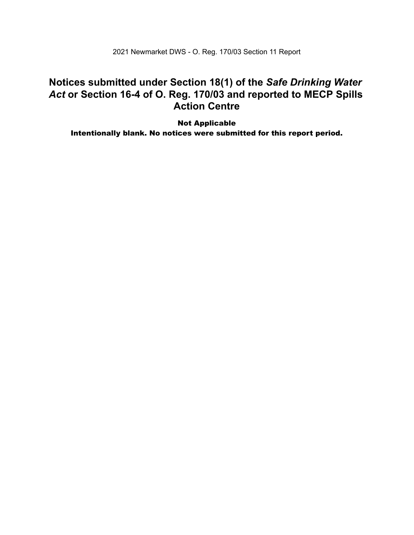2021 Newmarket DWS - O. Reg. 170/03 Section 11 Report

### **Notices submitted under Section 18(1) of the** *Safe Drinking Water*  *Act* **or Section 16-4 of O. Reg. 170/03 and reported to MECP Spills Action Centre**

 Intentionally blank. No notices were submitted for this report period.Not Applicable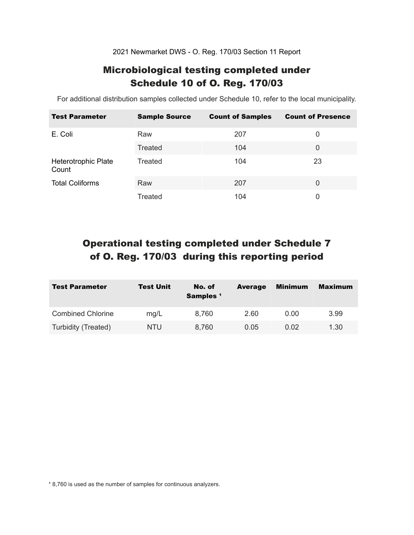2021 Newmarket DWS - O. Reg. 170/03 Section 11 Report

### Microbiological testing completed under Schedule 10 of O. Reg. 170/03

For additional distribution samples collected under Schedule 10, refer to the local municipality.

| <b>Test Parameter</b>        | <b>Sample Source</b> | <b>Count of Samples</b> | <b>Count of Presence</b> |
|------------------------------|----------------------|-------------------------|--------------------------|
| E. Coli                      | Raw                  | 207                     | 0                        |
|                              | Treated              | 104                     | 0                        |
| Heterotrophic Plate<br>Count | Treated              | 104                     | 23                       |
| <b>Total Coliforms</b>       | Raw                  | 207                     | $\Omega$                 |
|                              | Treated              | 104                     | 0                        |

## Operational testing completed under Schedule 7 of O. Reg. 170/03 during this reporting period

| <b>Test Parameter</b>    | <b>Test Unit</b> | No. of<br>Samples <sup>1</sup> | <b>Average</b> | Minimum | <b>Maximum</b> |
|--------------------------|------------------|--------------------------------|----------------|---------|----------------|
| <b>Combined Chlorine</b> | mg/L             | 8,760                          | 2.60           | 0.00    | 3.99           |
| Turbidity (Treated)      | NTU              | 8,760                          | 0.05           | 0.02    | 1.30           |

<sup>1</sup> 8,760 is used as the number of samples for continuous analyzers.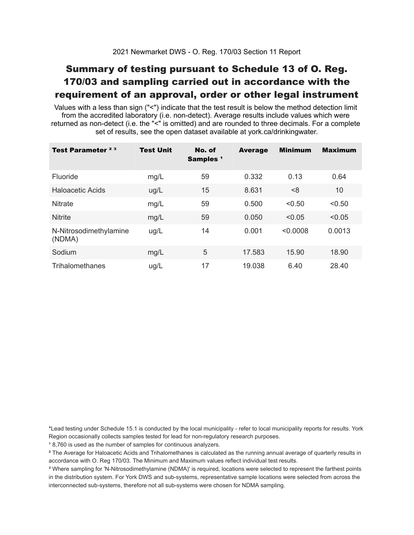## Summary of testing pursuant to Schedule 13 of O. Reg. 170/03 and sampling carried out in accordance with the requirement of an approval, order or other legal instrument

 Values with a less than sign ("<") indicate that the test result is below the method detection limit from the accredited laboratory (i.e. non-detect). Average results include values which were returned as non-detect (i.e. the "<" is omitted) and are rounded to three decimals. For a complete set of results, see the open dataset available at york.ca/drinkingwater.

| Test Parameter <sup>23</sup>     | <b>Test Unit</b> | No. of<br>Samples <sup>1</sup> | <b>Average</b> | <b>Minimum</b> | <b>Maximum</b> |
|----------------------------------|------------------|--------------------------------|----------------|----------------|----------------|
| Fluoride                         | mg/L             | 59                             | 0.332          | 0.13           | 0.64           |
| Haloacetic Acids                 | ug/L             | 15                             | 8.631          | < 8            | 10             |
| <b>Nitrate</b>                   | mg/L             | 59                             | 0.500          | < 0.50         | < 0.50         |
| <b>Nitrite</b>                   | mg/L             | 59                             | 0.050          | < 0.05         | < 0.05         |
| N-Nitrosodimethylamine<br>(NDMA) | ug/L             | 14                             | 0.001          | < 0.0008       | 0.0013         |
| Sodium                           | mg/L             | 5                              | 17.583         | 15.90          | 18.90          |
| Trihalomethanes                  | ug/L             | 17                             | 19.038         | 6.40           | 28.40          |

 \*Lead testing under Schedule 15.1 is conducted by the local municipality - refer to local municipality reports for results. York Region occasionally collects samples tested for lead for non-regulatory research purposes.

<sup>1</sup>8,760 is used as the number of samples for continuous analyzers.

 $\mathrm{^2}$  The Average for Haloacetic Acids and Trihalomethanes is calculated as the running annual average of quarterly results in accordance with O. Reg 170/03. The Minimum and Maximum values reflect individual test results.

<sup>3</sup> Where sampling for 'N-Nitrosodimethylamine (NDMA)' is required, locations were selected to represent the farthest points in the distribution system. For York DWS and sub-systems, representative sample locations were selected from across the interconnected sub-systems, therefore not all sub-systems were chosen for NDMA sampling.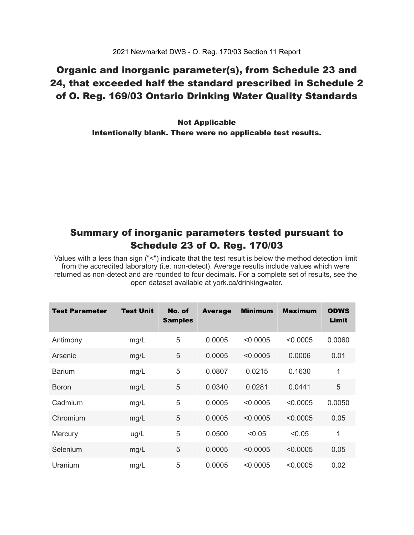### Organic and inorganic parameter(s), from Schedule 23 and 24, that exceeded half the standard prescribed in Schedule 2 of O. Reg. 169/03 Ontario Drinking Water Quality Standards

 Intentionally blank. There were no applicable test results. Not Applicable

### Summary of inorganic parameters tested pursuant to Schedule 23 of O. Reg. 170/03

 Values with a less than sign ("<") indicate that the test result is below the method detection limit from the accredited laboratory (i.e. non-detect). Average results include values which were returned as non-detect and are rounded to four decimals. For a complete set of results, see the open dataset available at york.ca/drinkingwater.

| <b>Test Parameter</b> | <b>Test Unit</b> | No. of<br><b>Samples</b> | <b>Average</b> | <b>Minimum</b> | <b>Maximum</b> | <b>ODWS</b><br>Limit |
|-----------------------|------------------|--------------------------|----------------|----------------|----------------|----------------------|
| Antimony              | mg/L             | 5                        | 0.0005         | < 0.0005       | < 0.0005       | 0.0060               |
| Arsenic               | mg/L             | 5                        | 0.0005         | < 0.0005       | 0.0006         | 0.01                 |
| <b>Barium</b>         | mg/L             | 5                        | 0.0807         | 0.0215         | 0.1630         | $\mathbf{1}$         |
| <b>Boron</b>          | mg/L             | 5                        | 0.0340         | 0.0281         | 0.0441         | 5                    |
| Cadmium               | mg/L             | 5                        | 0.0005         | < 0.0005       | < 0.0005       | 0.0050               |
| Chromium              | mg/L             | 5                        | 0.0005         | < 0.0005       | < 0.0005       | 0.05                 |
| Mercury               | ug/L             | 5                        | 0.0500         | < 0.05         | < 0.05         | 1                    |
| Selenium              | mg/L             | 5                        | 0.0005         | < 0.0005       | < 0.0005       | 0.05                 |
| Uranium               | mg/L             | 5                        | 0.0005         | < 0.0005       | < 0.0005       | 0.02                 |